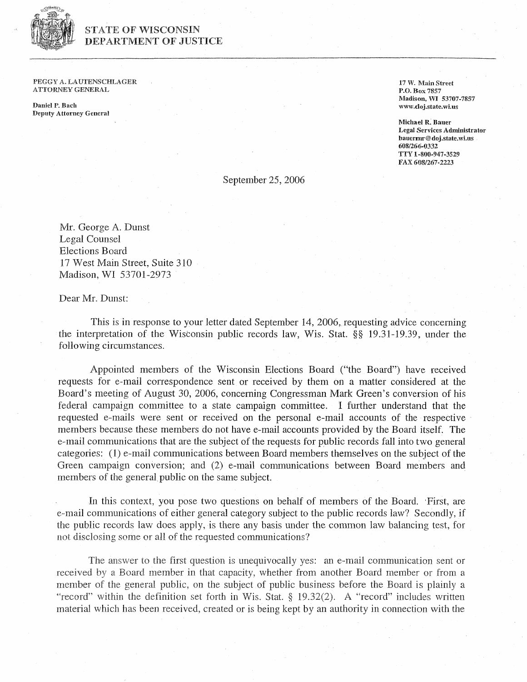

## **STATE OF WISCONSIN** DEPARTMENT OF JUSTICE

PEGGY A. LAUTENSCHLAGER **ATTORNEY GENERAL** 

**Daniel P. Bach Deputy Attorney General**  **17 W. Main Street P.O. Box 7857 Madison,** W *53'907-48-57*  **www.clqj.state.wi.us** 

**Michael R. Bauer Legal Services Administrator bauerm@ doj.state,wi.tas**  *6081266-0332*  **TTY 1-808-947-3529 FAX 608/267..2223** 

September 25,2006

Mr. George A. Dunst Legal Counsel Elections Board 17 West Main Street, Suite 310 Madison, WI 53701-2973

Dear Mr. Dunst:

This is in response to your letter dated September 14, 2006, requesting advice concerning the interpretation of the Wisconsin public records law, Wis. Stat. \$5 19.31-19.39, under the following circumstances.

Appointed members of the Wisconsin Elections Board ("the Board") have received requests for e-mail correspondence sent or received by them on a matter considered at the Board's meeting of August 30, 2006, concerning Congressman Mark Green's conversion of his federal campaign committee to a state campaign committee. 1 further understand that the requested e-mails were sent or received on the personal e-mail accounts of the respective Inembers because these members do not have e-mail accounts provided by the Board itself. The e-mail communications that are the subject of the requests for public records fall into two general categories: (1) e-mail communications between Board members themselves on the subject of the Green campaign conversion; and  $(2)$  e-mail communications between Board members and members of the general public on the same subject.

In this context, you pose two questions on behalf of members of the Board. First, are e-mail communications of either general category subject to the public records law? Secondly, if the public records law does apply, is there any basis under the common law balancing test, for not disclosing some or all of the requested communications?

The answer to the first question is unequivocally yes: an e-mail communication sent or received by a Board member in that capacity, whether from another Board member or from a member of the general public, on the subject of public business before the Board is plainly a "record" within the definition set forth in Wis. Stat. § 19.32(2). A "record" includes written material which has been received, created or is being kept by an authority in connection with the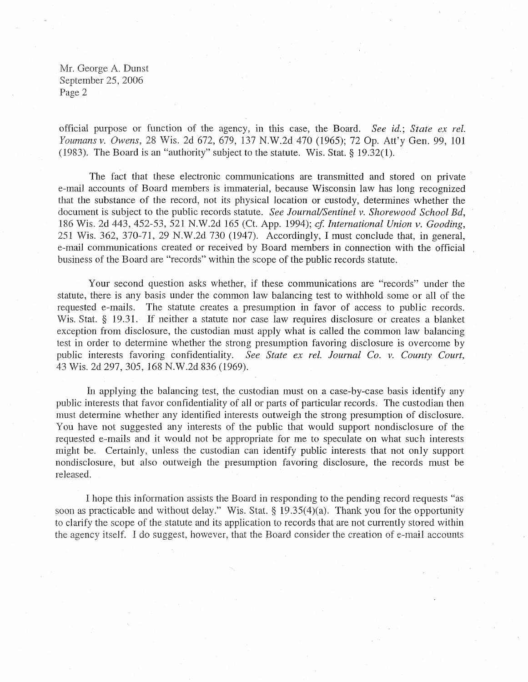Mr. George A. Dunst September 25, 2006 Page *2* 

official purpose or function of the agency, in this case, the Board. *See* **id.;** *State* ex *rel. Youmans* I?. *Owens,* 28 Wis. 2d 672, 679, 137 N.W.2d 470 (1965); 72 Op. Att'y Gen. 99, 101 (1983). The Board is an "authority" subject to the statute. Wis. Stat.  $\S$  19.32(1).

The fact that these electronic communications are transmitted and stored on private e-mail accounts of Board members is immaterial, because Wisconsin law has long recognized that the substance of the record, not its physical location or custody, determines whether the document is subject to the public records statute. *See Journal/Sentinel v. Shorewood School Bd*, 186 Wis. 2d 443, 452-53, 521 N.W.2d 165 (Ct. App. 1994); cf. International Union v. Gooding, 251 Wis. 362, 370-71, 29 W.W.2d 730 (1947). Accordingly, I rnust conclude that, in general, e-mail communications created or received by Board members in connection with the official business of the Board are "records" within the scope of the public records statute.

Your second question asks whether, if these communications are "records" under the statute, there is any basis under the common law balancing test to withhold some or all of the requested e-mails. The statute creates a presuinption in favor of access to public records. Wis. Stat. § 19.31. If neither a statute nor case law requires disclosure or creates a blanket exception from disclosure, the custodian must apply what is called the common law balancing test in order to determine whether the strong presumption favoring disclosure is overcome by public interests favoring confidentiality. See State ex rel. Journal Co. v. County Court, 43 Wis. 2d 297,305, 168 N.W.2d 836 (1969).

In applying the balancing test, the custodian must on a case-by-case basis identify any public interests that favor confidentiality of all or parts of particular records. The custodian then must determine whether any identified interests outweigh the strong presumption of disclosure. You have not suggested any interests of the public that would support nondisclosure of the requested e-mails and it would not be appropriate for me to speculate on what such interests might be. Certainly, unless the custodian can identify public interests that not only support nondisclosure, but also outweigh the presumption favoring disclosure, the records must be released.

I hope this information assists the Board in responding to the pending record requests "as soon as practicable and without delay." Wis. Stat. *5* 19.35(4)(a). Thank you for the opportunity to clarify the scope of the statute and its application to records that are not currently stored within the agency itself. I do suggest, however, that the Board consider the creation of e-mail accounts